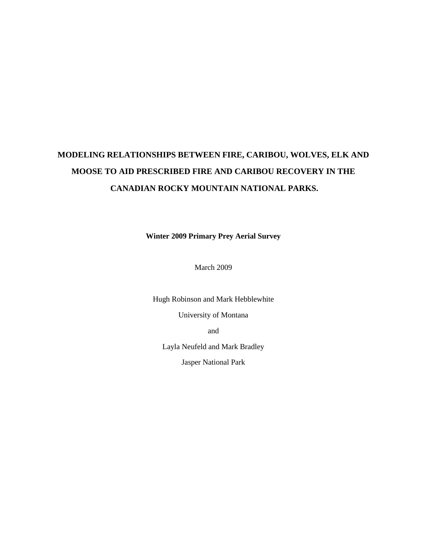# **MODELING RELATIONSHIPS BETWEEN FIRE, CARIBOU, WOLVES, ELK AND MOOSE TO AID PRESCRIBED FIRE AND CARIBOU RECOVERY IN THE CANADIAN ROCKY MOUNTAIN NATIONAL PARKS.**

**Winter 2009 Primary Prey Aerial Survey**

March 2009

Hugh Robinson and Mark Hebblewhite

University of Montana

and

Layla Neufeld and Mark Bradley

Jasper National Park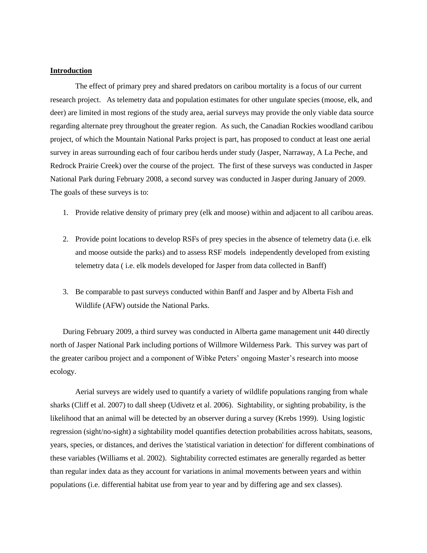# **Introduction**

The effect of primary prey and shared predators on caribou mortality is a focus of our current research project. As telemetry data and population estimates for other ungulate species (moose, elk, and deer) are limited in most regions of the study area, aerial surveys may provide the only viable data source regarding alternate prey throughout the greater region. As such, the Canadian Rockies woodland caribou project, of which the Mountain National Parks project is part, has proposed to conduct at least one aerial survey in areas surrounding each of four caribou herds under study (Jasper, Narraway, A La Peche, and Redrock Prairie Creek) over the course of the project. The first of these surveys was conducted in Jasper National Park during February 2008, a second survey was conducted in Jasper during January of 2009. The goals of these surveys is to:

- 1. Provide relative density of primary prey (elk and moose) within and adjacent to all caribou areas.
- 2. Provide point locations to develop RSFs of prey species in the absence of telemetry data (i.e. elk and moose outside the parks) and to assess RSF models independently developed from existing telemetry data ( i.e. elk models developed for Jasper from data collected in Banff)
- 3. Be comparable to past surveys conducted within Banff and Jasper and by Alberta Fish and Wildlife (AFW) outside the National Parks.

During February 2009, a third survey was conducted in Alberta game management unit 440 directly north of Jasper National Park including portions of Willmore Wilderness Park. This survey was part of the greater caribou project and a component of Wibke Peters' ongoing Master's research into moose ecology.

Aerial surveys are widely used to quantify a variety of wildlife populations ranging from whale sharks (Cliff et al. 2007) to dall sheep (Udivetz et al. 2006). Sightability, or sighting probability, is the likelihood that an animal will be detected by an observer during a survey (Krebs 1999). Using logistic regression (sight/no-sight) a sightability model quantifies detection probabilities across habitats, seasons, years, species, or distances, and derives the 'statistical variation in detection' for different combinations of these variables (Williams et al. 2002). Sightability corrected estimates are generally regarded as better than regular index data as they account for variations in animal movements between years and within populations (i.e. differential habitat use from year to year and by differing age and sex classes).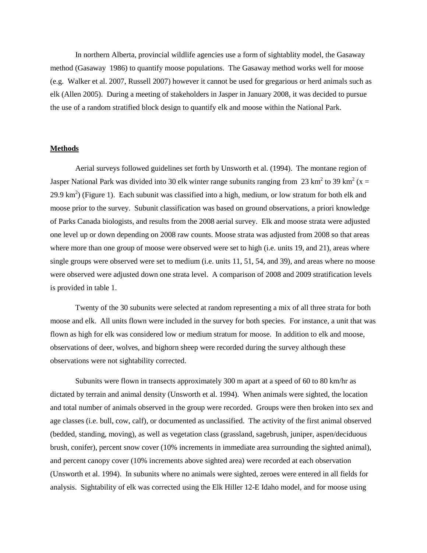In northern Alberta, provincial wildlife agencies use a form of sightablity model, the Gasaway method (Gasaway 1986) to quantify moose populations. The Gasaway method works well for moose (e.g. Walker et al. 2007, Russell 2007) however it cannot be used for gregarious or herd animals such as elk (Allen 2005). During a meeting of stakeholders in Jasper in January 2008, it was decided to pursue the use of a random stratified block design to quantify elk and moose within the National Park.

# **Methods**

Aerial surveys followed guidelines set forth by Unsworth et al. (1994). The montane region of Jasper National Park was divided into 30 elk winter range subunits ranging from 23 km<sup>2</sup> to 39 km<sup>2</sup> (x = 29.9 km<sup>2</sup>) (Figure 1). Each subunit was classified into a high, medium, or low stratum for both elk and moose prior to the survey. Subunit classification was based on ground observations, a priori knowledge of Parks Canada biologists, and results from the 2008 aerial survey. Elk and moose strata were adjusted one level up or down depending on 2008 raw counts. Moose strata was adjusted from 2008 so that areas where more than one group of moose were observed were set to high (i.e. units 19, and 21), areas where single groups were observed were set to medium (i.e. units 11, 51, 54, and 39), and areas where no moose were observed were adjusted down one strata level. A comparison of 2008 and 2009 stratification levels is provided in table 1.

Twenty of the 30 subunits were selected at random representing a mix of all three strata for both moose and elk. All units flown were included in the survey for both species. For instance, a unit that was flown as high for elk was considered low or medium stratum for moose. In addition to elk and moose, observations of deer, wolves, and bighorn sheep were recorded during the survey although these observations were not sightability corrected.

Subunits were flown in transects approximately 300 m apart at a speed of 60 to 80 km/hr as dictated by terrain and animal density (Unsworth et al. 1994). When animals were sighted, the location and total number of animals observed in the group were recorded. Groups were then broken into sex and age classes (i.e. bull, cow, calf), or documented as unclassified. The activity of the first animal observed (bedded, standing, moving), as well as vegetation class (grassland, sagebrush, juniper, aspen/deciduous brush, conifer), percent snow cover (10% increments in immediate area surrounding the sighted animal), and percent canopy cover (10% increments above sighted area) were recorded at each observation (Unsworth et al. 1994). In subunits where no animals were sighted, zeroes were entered in all fields for analysis. Sightability of elk was corrected using the Elk Hiller 12-E Idaho model, and for moose using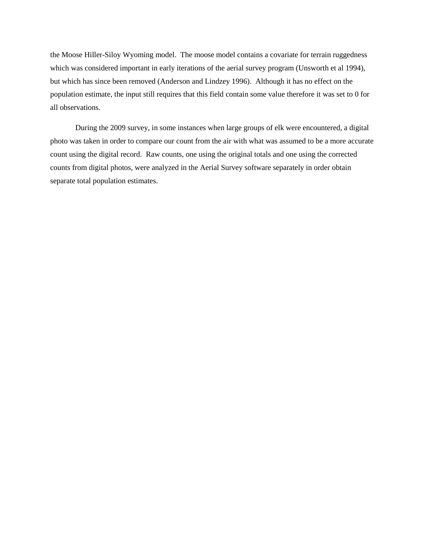the Moose Hiller-Siloy Wyoming model. The moose model contains a covariate for terrain ruggedness which was considered important in early iterations of the aerial survey program (Unsworth et al 1994), but which has since been removed (Anderson and Lindzey 1996). Although it has no effect on the population estimate, the input still requires that this field contain some value therefore it was set to 0 for all observations.

During the 2009 survey, in some instances when large groups of elk were encountered, a digital photo was taken in order to compare our count from the air with what was assumed to be a more accurate count using the digital record. Raw counts, one using the original totals and one using the corrected counts from digital photos, were analyzed in the Aerial Survey software separately in order obtain separate total population estimates.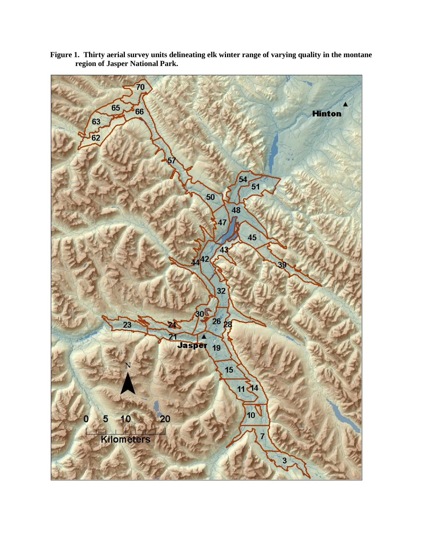

**Figure 1. Thirty aerial survey units delineating elk winter range of varying quality in the montane region of Jasper National Park.**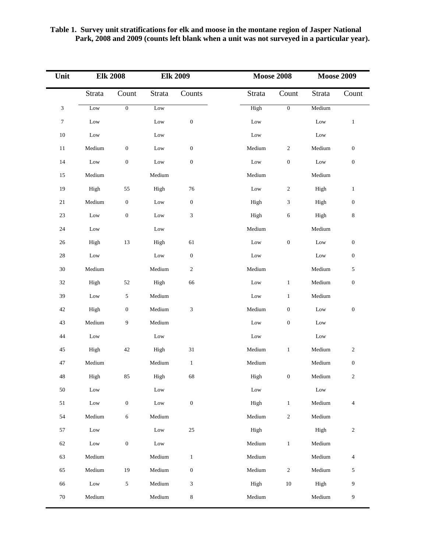| Table 1. Survey unit stratifications for elk and moose in the montane region of Jasper National |  |  |
|-------------------------------------------------------------------------------------------------|--|--|
| Park, 2008 and 2009 (counts left blank when a unit was not surveyed in a particular year).      |  |  |

| Unit             |                         | <b>Elk 2008</b>  |                 | <b>Elk 2009</b>             | <b>Moose 2008</b> |                  | <b>Moose 2009</b> |                          |
|------------------|-------------------------|------------------|-----------------|-----------------------------|-------------------|------------------|-------------------|--------------------------|
|                  | Strata                  | Count            | Strata          | Counts                      | Strata            | Count            | Strata            | Count                    |
| $\sqrt{3}$       | $_{\rm Low}$            | $\boldsymbol{0}$ | Low             |                             | High              | $\boldsymbol{0}$ | Medium            |                          |
| $\boldsymbol{7}$ | $_{\rm Low}$            |                  | Low             | $\boldsymbol{0}$            | $_{\rm Low}$      |                  | Low               | $\mathbf{1}$             |
| $10\,$           | $_{\rm Low}$            |                  | $_{\rm Low}$    |                             | Low               |                  | Low               |                          |
| 11               | Medium                  | $\boldsymbol{0}$ | Low             | $\boldsymbol{0}$            | Medium            | $\boldsymbol{2}$ | Medium            | $\boldsymbol{0}$         |
| $14$             | Low                     | $\boldsymbol{0}$ | $_{\rm Low}$    | $\boldsymbol{0}$            | $_{\rm Low}$      | $\boldsymbol{0}$ | Low               | $\boldsymbol{0}$         |
| 15               | Medium                  |                  | Medium          |                             | Medium            |                  | Medium            |                          |
| 19               | High                    | 55               | High            | 76                          | Low               | $\boldsymbol{2}$ | High              | $\mathbf{1}$             |
| $21\,$           | Medium                  | $\boldsymbol{0}$ | $_{\rm Low}$    | $\boldsymbol{0}$            | High              | 3                | High              | $\boldsymbol{0}$         |
| 23               | Low                     | $\boldsymbol{0}$ | Low             | 3                           | High              | 6                | High              | $\,8\,$                  |
| 24               | Low                     |                  | $_{\rm Low}$    |                             | Medium            |                  | Medium            |                          |
| $26\,$           | High                    | 13               | High            | 61                          | $_{\text{Low}}$   | $\boldsymbol{0}$ | Low               | $\boldsymbol{0}$         |
| $28\,$           | $_{\rm Low}$            |                  | Low             | $\boldsymbol{0}$            | Low               |                  | Low               | $\boldsymbol{0}$         |
| $30\,$           | Medium                  |                  | Medium          | $\overline{\mathbf{c}}$     | Medium            |                  | Medium            | 5                        |
| 32               | High                    | $52\,$           | High            | 66                          | Low               | $\,1$            | Medium            | $\boldsymbol{0}$         |
| 39               | Low                     | 5                | Medium          |                             | Low               | $\mathbf{1}$     | Medium            |                          |
| $42\,$           | High                    | $\boldsymbol{0}$ | Medium          | $\ensuremath{\mathfrak{Z}}$ | Medium            | $\boldsymbol{0}$ | Low               | $\boldsymbol{0}$         |
| 43               | Medium                  | 9                | Medium          |                             | Low               | $\boldsymbol{0}$ | Low               |                          |
| 44               | $_{\rm Low}$            |                  | $_{\rm Low}$    |                             | $_{\text{Low}}$   |                  | Low               |                          |
| 45               | High                    | $42\,$           | High            | 31                          | Medium            | $\mathbf{1}$     | Medium            | $\overline{c}$           |
| 47               | Medium                  |                  | Medium          | $\mathbf{1}$                | Medium            |                  | Medium            | $\boldsymbol{0}$         |
| 48               | High                    | 85               | High            | 68                          | High              | $\boldsymbol{0}$ | Medium            | $\overline{c}$           |
| $50\,$           | Low                     |                  | $_{\rm Low}$    |                             | $_{\rm Low}$      |                  | $_{\rm Low}$      |                          |
| 51               | $_{\rm Low}$            | $\boldsymbol{0}$ | $_{\rm Low}$    | $\boldsymbol{0}$            | High              | $\mathbf{1}$     | Medium            | $\overline{\mathcal{A}}$ |
| 54               | Medium                  | $\sqrt{6}$       | Medium          |                             | Medium            | $\sqrt{2}$       | Medium            |                          |
| 57               | $_{\rm Low}$            |                  | $_{\text{Low}}$ | 25                          | High              |                  | High              | $\boldsymbol{2}$         |
| $62\,$           | $_{\rm Low}$            | $\boldsymbol{0}$ | $_{\rm Low}$    |                             | Medium            | $\,1$            | Medium            |                          |
| 63               | Medium                  |                  | Medium          | $\,1$                       | Medium            |                  | Medium            | $\overline{\mathcal{A}}$ |
| 65               | $\operatorname{Median}$ | 19               | Medium          | $\boldsymbol{0}$            | Medium            | $\overline{c}$   | Medium            | 5                        |
| 66               | $_{\rm Low}$            | $\sqrt{5}$       | Medium          | $\sqrt{3}$                  | High              | $10\,$           | High              | 9                        |
| $70\,$           | Medium                  |                  | Medium          | $\,8\,$                     | Medium            |                  | Medium            | 9                        |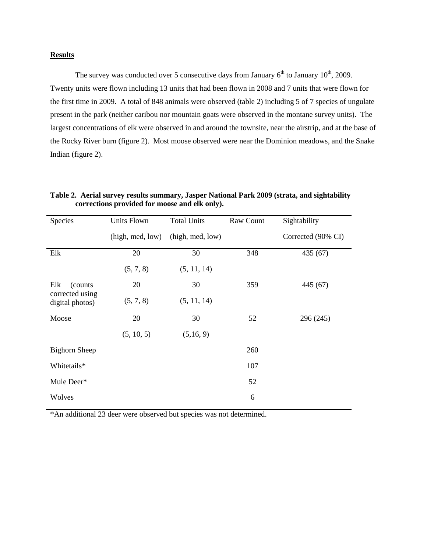# **Results**

The survey was conducted over 5 consecutive days from January  $6<sup>th</sup>$  to January  $10<sup>th</sup>$ , 2009. Twenty units were flown including 13 units that had been flown in 2008 and 7 units that were flown for the first time in 2009. A total of 848 animals were observed (table 2) including 5 of 7 species of ungulate present in the park (neither caribou nor mountain goats were observed in the montane survey units). The largest concentrations of elk were observed in and around the townsite, near the airstrip, and at the base of the Rocky River burn (figure 2). Most moose observed were near the Dominion meadows, and the Snake Indian (figure 2).

**Table 2. Aerial survey results summary, Jasper National Park 2009 (strata, and sightability corrections provided for moose and elk only).**

| Species                                               | <b>Units Flown</b> | <b>Total Units</b> | Raw Count | Sightability       |
|-------------------------------------------------------|--------------------|--------------------|-----------|--------------------|
|                                                       | (high, med, low)   | (high, med, low)   |           | Corrected (90% CI) |
| Elk                                                   | 20                 | 30                 | 348       | 435 (67)           |
|                                                       | (5, 7, 8)          | (5, 11, 14)        |           |                    |
| Elk<br>(counts)<br>corrected using<br>digital photos) | 20                 | 30                 | 359       | 445 (67)           |
|                                                       | (5, 7, 8)          | (5, 11, 14)        |           |                    |
| Moose                                                 | 20                 | 30                 | 52        | 296 (245)          |
|                                                       | (5, 10, 5)         | (5,16, 9)          |           |                    |
| <b>Bighorn Sheep</b>                                  |                    |                    | 260       |                    |
| Whitetails*                                           |                    |                    | 107       |                    |
| Mule Deer*                                            |                    |                    | 52        |                    |
| Wolves                                                |                    |                    | 6         |                    |

\*An additional 23 deer were observed but species was not determined.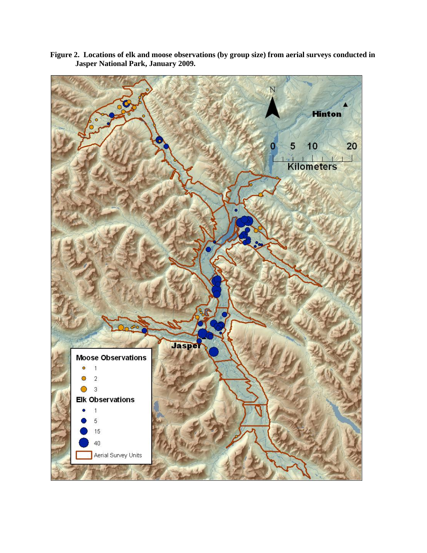

**Figure 2. Locations of elk and moose observations (by group size) from aerial surveys conducted in Jasper National Park, January 2009.**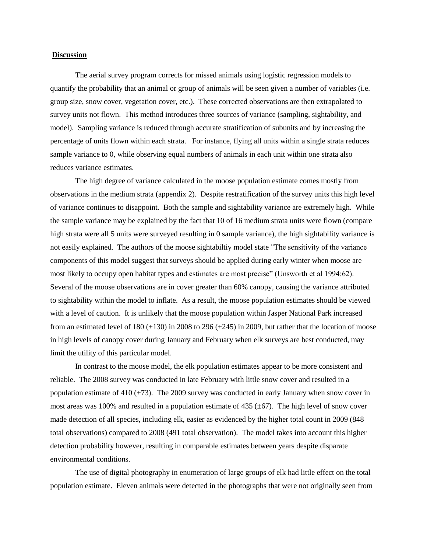#### **Discussion**

The aerial survey program corrects for missed animals using logistic regression models to quantify the probability that an animal or group of animals will be seen given a number of variables (i.e. group size, snow cover, vegetation cover, etc.). These corrected observations are then extrapolated to survey units not flown. This method introduces three sources of variance (sampling, sightability, and model). Sampling variance is reduced through accurate stratification of subunits and by increasing the percentage of units flown within each strata. For instance, flying all units within a single strata reduces sample variance to 0, while observing equal numbers of animals in each unit within one strata also reduces variance estimates.

The high degree of variance calculated in the moose population estimate comes mostly from observations in the medium strata (appendix 2). Despite restratification of the survey units this high level of variance continues to disappoint. Both the sample and sightability variance are extremely high. While the sample variance may be explained by the fact that 10 of 16 medium strata units were flown (compare high strata were all 5 units were surveyed resulting in 0 sample variance), the high sightability variance is not easily explained. The authors of the moose sightabiltiy model state "The sensitivity of the variance components of this model suggest that surveys should be applied during early winter when moose are most likely to occupy open habitat types and estimates are most precise" (Unsworth et al 1994:62). Several of the moose observations are in cover greater than 60% canopy, causing the variance attributed to sightability within the model to inflate. As a result, the moose population estimates should be viewed with a level of caution. It is unlikely that the moose population within Jasper National Park increased from an estimated level of 180  $(\pm 130)$  in 2008 to 296  $(\pm 245)$  in 2009, but rather that the location of moose in high levels of canopy cover during January and February when elk surveys are best conducted, may limit the utility of this particular model.

In contrast to the moose model, the elk population estimates appear to be more consistent and reliable. The 2008 survey was conducted in late February with little snow cover and resulted in a population estimate of 410  $(\pm 73)$ . The 2009 survey was conducted in early January when snow cover in most areas was 100% and resulted in a population estimate of 435 ( $\pm$ 67). The high level of snow cover made detection of all species, including elk, easier as evidenced by the higher total count in 2009 (848 total observations) compared to 2008 (491 total observation). The model takes into account this higher detection probability however, resulting in comparable estimates between years despite disparate environmental conditions.

The use of digital photography in enumeration of large groups of elk had little effect on the total population estimate. Eleven animals were detected in the photographs that were not originally seen from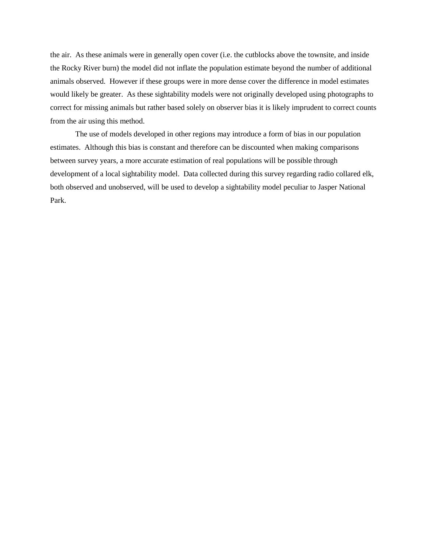the air. As these animals were in generally open cover (i.e. the cutblocks above the townsite, and inside the Rocky River burn) the model did not inflate the population estimate beyond the number of additional animals observed. However if these groups were in more dense cover the difference in model estimates would likely be greater. As these sightability models were not originally developed using photographs to correct for missing animals but rather based solely on observer bias it is likely imprudent to correct counts from the air using this method.

The use of models developed in other regions may introduce a form of bias in our population estimates. Although this bias is constant and therefore can be discounted when making comparisons between survey years, a more accurate estimation of real populations will be possible through development of a local sightability model. Data collected during this survey regarding radio collared elk, both observed and unobserved, will be used to develop a sightability model peculiar to Jasper National Park.